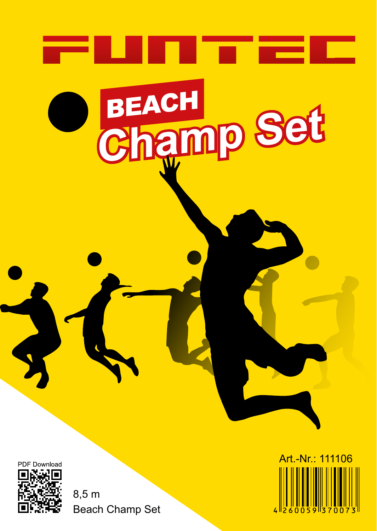

Beach Champ Set 8,5 m

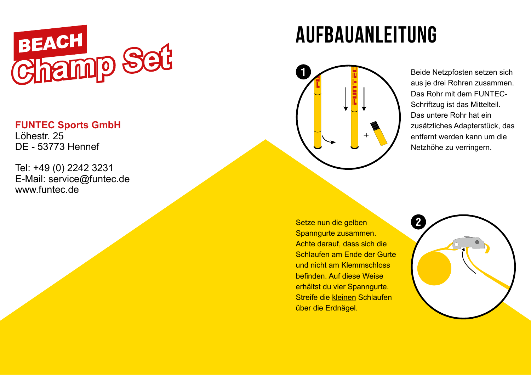

### **FUNTEC Sports GmbH**

Löhestr. 25 DE - 53773 Hennef

Tel: +49 (0) 2242 3231 E-Mail: service@funtec.de www.funtec.de

## aufbauanleitung



Beide Netzpfosten setzen sich aus je drei Rohren zusammen. Das Rohr mit dem FUNTEC-Schriftzug ist das Mittelteil. Das untere Rohr hat ein zusätzliches Adapterstück, das entfernt werden kann um die Netzhöhe zu verringern.

Setze nun die gelben Spanngurte zusammen. Achte darauf, dass sich die Schlaufen am Ende der Gurte und nicht am Klemmschloss befinden. Auf diese Weise erhältst du vier Spanngurte. Streife die kleinen Schlaufen über die Erdnägel.

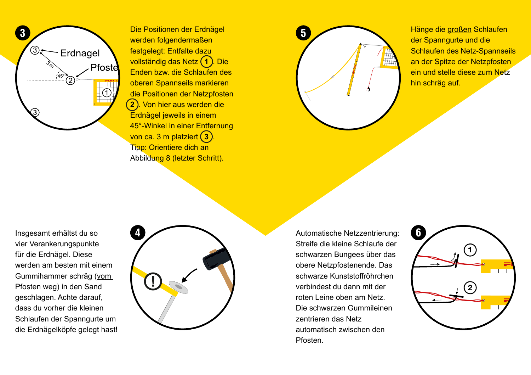

werden folgendermaßen festgelegt: Entfalte dazu vollständig das Netz **1** . Die Enden bzw. die Schlaufen des oberen Spannseils markieren die Positionen der Netzpfosten **2** . Von hier aus werden die Erdnägel jeweils in einem 45°-Winkel in einer Entfernung von ca. 3 m platziert **3** . Tipp: Orientiere dich an Abbildung 8 (letzter Schritt).



Hänge die großen Schlaufen der Spanngurte und die Schlaufen des Netz-Spannseils an der Spitze der Netzpfosten ein und stelle diese zum Netz hin schräg auf.

Insgesamt erhältst du so vier Verankerungspunkte für die Erdnägel. Diese werden am besten mit einem Gummihammer schräg (vom Pfosten weg) in den Sand geschlagen. Achte darauf, dass du vorher die kleinen Schlaufen der Spanngurte um die Erdnägelköpfe gelegt hast!



Automatische Netzzentrierung: Streife die kleine Schlaufe der schwarzen Bungees über das obere Netzpfostenende. Das schwarze Kunststoffröhrchen verbindest du dann mit der roten Leine oben am Netz. Die schwarzen Gummileinen zentrieren das Netz automatisch zwischen den Pfosten.

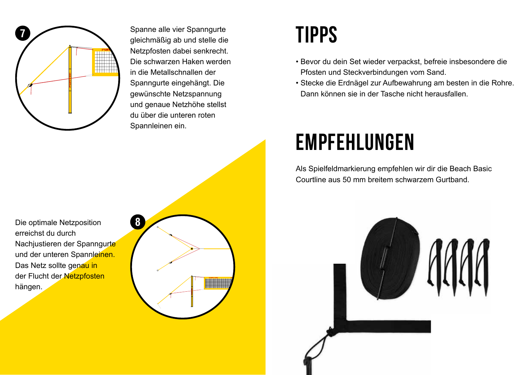

Spanne alle vier Spanngurte gleichmäßig ab und stelle die Netzpfosten dabei senkrecht. Die schwarzen Haken werden in die Metallschnallen der Spanngurte eingehängt. Die gewünschte Netzspannung und genaue Netzhöhe stellst du über die unteren roten Spannleinen ein.

### Tipps

- Bevor du dein Set wieder verpackst, befreie insbesondere die Pfosten und Steckverbindungen vom Sand.
- Stecke die Erdnägel zur Aufbewahrung am besten in die Rohre. Dann können sie in der Tasche nicht herausfallen.

## empfehlungen

Als Spielfeldmarkierung empfehlen wir dir die Beach Basic Courtline aus 50 mm breitem schwarzem Gurtband.

Die optimale Netzposition erreichst du durch Nachjustieren der Spanngurte und der unteren Spannleinen. Das Netz sollte genau in der Flucht der Netzpfosten hängen.



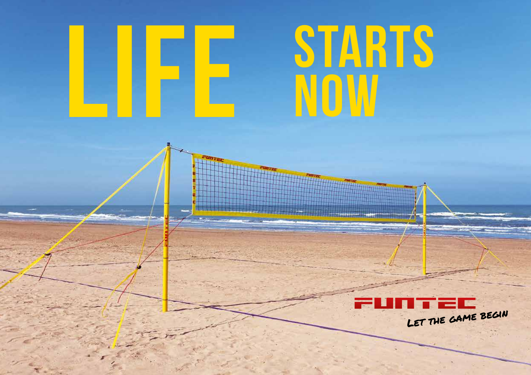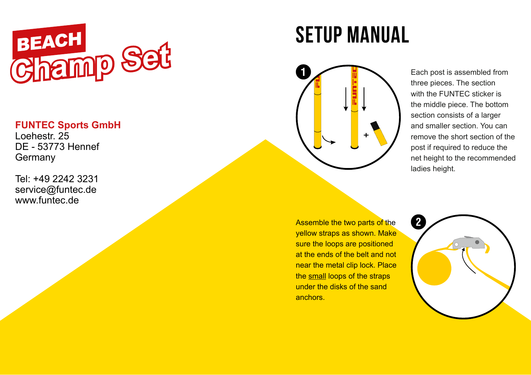

#### **FUNTEC Sports GmbH**

Loehestr. 25 DE - 53773 Hennef Germany

Tel: +49 2242 3231 service@funtec.de www.funtec.de

# setup manual



Each post is assembled from three pieces. The section with the FUNTEC sticker is the middle piece. The bottom section consists of a larger and smaller section. You can remove the short section of the post if required to reduce the net height to the recommended ladies height.

Assemble the two parts of the yellow straps as shown. Make sure the loops are positioned at the ends of the belt and not near the metal clip lock. Place the small loops of the straps under the disks of the sand anchors.

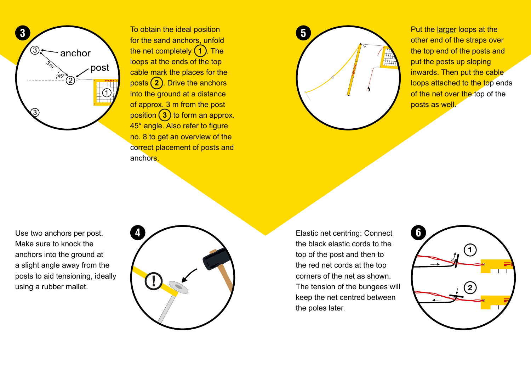

To obtain the ideal position for the sand anchors, unfold the net completely (1). The loops at the ends of the top cable mark the places for the posts **2** . Drive the anchors into the ground at a distance of approx. 3 m from the post position **3** to form an approx. 45° angle. Also refer to figure no. 8 to get an overview of the correct placement of posts and anchors.



Put the larger loops at the other end of the straps over the top end of the posts and put the posts up sloping inwards. Then put the cable loops attached to the top ends of the net over the top of the posts as well.

Use two anchors per post. Make sure to knock the anchors into the ground at a slight angle away from the posts to aid tensioning, ideally using a rubber mallet.



Elastic net centring: Connect the black elastic cords to the top of the post and then to the red net cords at the top corners of the net as shown. The tension of the bungees will keep the net centred between the poles later.

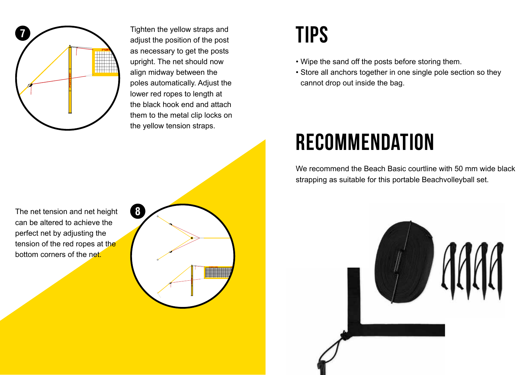

Tighten the yellow straps and adjust the position of the post as necessary to get the posts upright. The net should now align midway between the poles automatically. Adjust the lower red ropes to length at the black hook end and attach them to the metal clip locks on the yellow tension straps.

**8**

### Tips

- Wipe the sand off the posts before storing them.
- Store all anchors together in one single pole section so they cannot drop out inside the bag.

## **RECOMMENDATION**

We recommend the Beach Basic courtline with 50 mm wide black strapping as suitable for this portable Beachvolleyball set.



The net tension and net height can be altered to achieve the perfect net by adjusting the tension of the red ropes at the bottom corners of the net